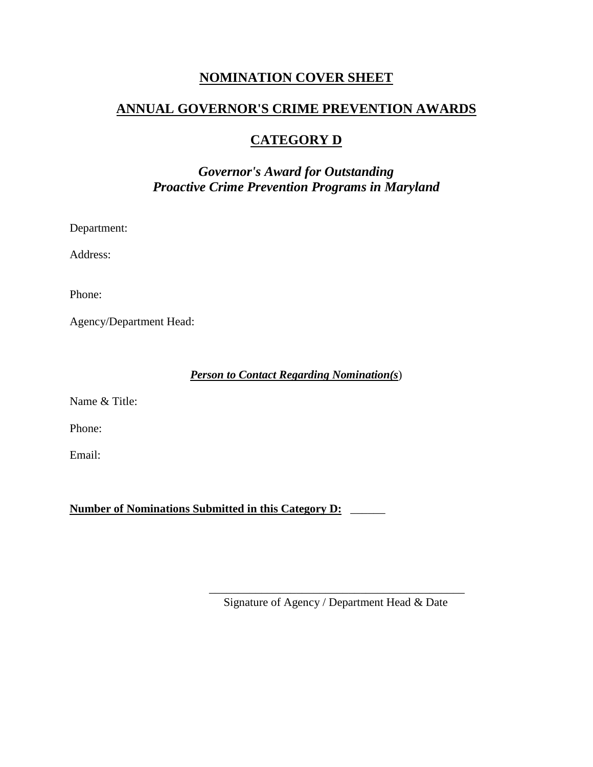## **NOMINATION COVER SHEET**

## **ANNUAL GOVERNOR'S CRIME PREVENTION AWARDS**

# **CATEGORY D**

# *Governor's Award for Outstanding Proactive Crime Prevention Programs in Maryland*

Department:

Address:

Phone:

Agency/Department Head:

*Person to Contact Regarding Nomination(s*)

Name & Title:

Phone:

Email:

**Number of Nominations Submitted in this Category D:** \_\_\_\_\_\_

\_\_\_\_\_\_\_\_\_\_\_\_\_\_\_\_\_\_\_\_\_\_\_\_\_\_\_\_\_\_\_\_\_\_\_\_\_\_\_\_\_\_\_\_ Signature of Agency / Department Head & Date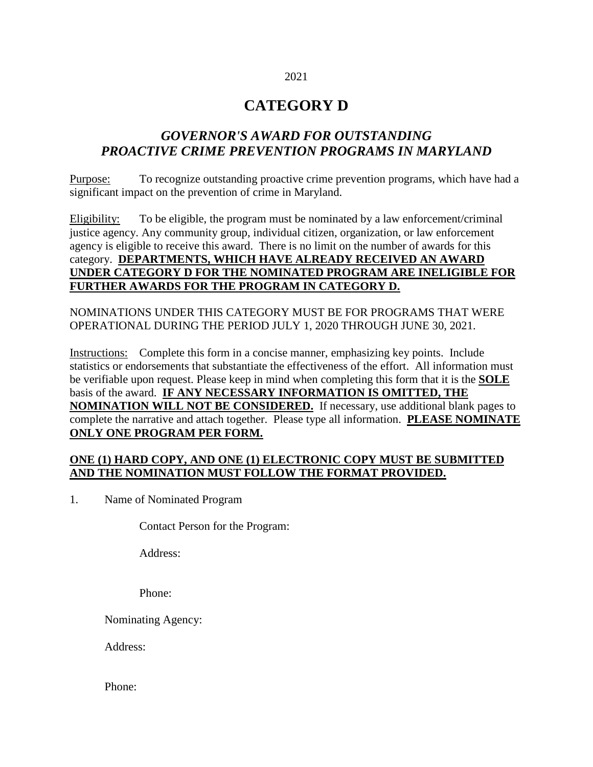# 2021

# **CATEGORY D**

## *GOVERNOR'S AWARD FOR OUTSTANDING PROACTIVE CRIME PREVENTION PROGRAMS IN MARYLAND*

Purpose: To recognize outstanding proactive crime prevention programs, which have had a significant impact on the prevention of crime in Maryland.

Eligibility: To be eligible, the program must be nominated by a law enforcement/criminal justice agency. Any community group, individual citizen, organization, or law enforcement agency is eligible to receive this award. There is no limit on the number of awards for this category. **DEPARTMENTS, WHICH HAVE ALREADY RECEIVED AN AWARD UNDER CATEGORY D FOR THE NOMINATED PROGRAM ARE INELIGIBLE FOR FURTHER AWARDS FOR THE PROGRAM IN CATEGORY D.**

NOMINATIONS UNDER THIS CATEGORY MUST BE FOR PROGRAMS THAT WERE OPERATIONAL DURING THE PERIOD JULY 1, 2020 THROUGH JUNE 30, 2021.

Instructions: Complete this form in a concise manner, emphasizing key points. Include statistics or endorsements that substantiate the effectiveness of the effort. All information must be verifiable upon request. Please keep in mind when completing this form that it is the **SOLE** basis of the award. **IF ANY NECESSARY INFORMATION IS OMITTED, THE NOMINATION WILL NOT BE CONSIDERED.** If necessary, use additional blank pages to complete the narrative and attach together. Please type all information. **PLEASE NOMINATE ONLY ONE PROGRAM PER FORM.**

#### **ONE (1) HARD COPY, AND ONE (1) ELECTRONIC COPY MUST BE SUBMITTED AND THE NOMINATION MUST FOLLOW THE FORMAT PROVIDED.**

1. Name of Nominated Program

Contact Person for the Program:

Address:

Phone:

Nominating Agency:

Address:

Phone: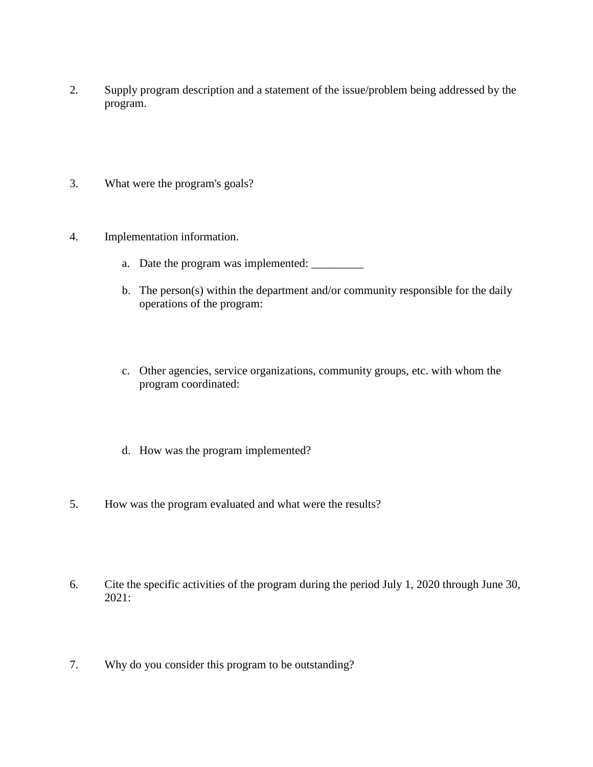- 2. Supply program description and a statement of the issue/problem being addressed by the program.
- 3. What were the program's goals?
- 4. Implementation information.
	- a. Date the program was implemented: \_\_\_\_\_\_\_\_\_
	- b. The person(s) within the department and/or community responsible for the daily operations of the program:
	- c. Other agencies, service organizations, community groups, etc. with whom the program coordinated:
	- d. How was the program implemented?
- 5. How was the program evaluated and what were the results?
- 6. Cite the specific activities of the program during the period July 1, 2020 through June 30, 2021:
- 7. Why do you consider this program to be outstanding?